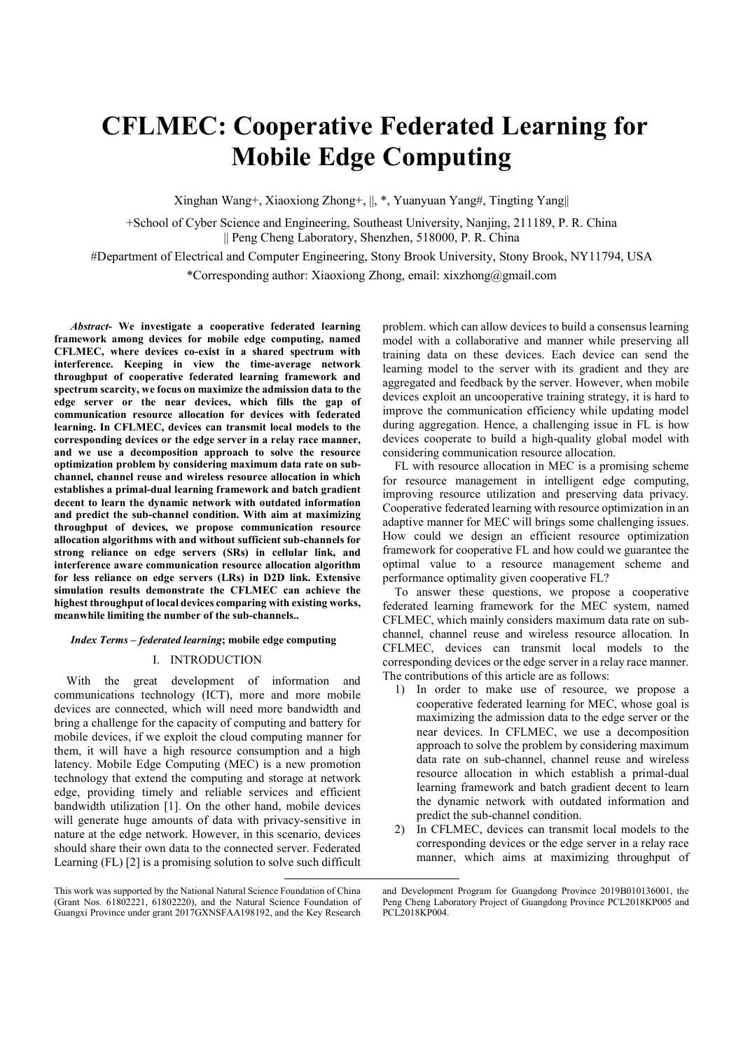# CFLMEC: Cooperative Federated Learning for Mobile Edge Computing

Xinghan Wang+, Xiaoxiong Zhong+, ||, \*, Yuanyuan Yang#, Tingting Yang||

+School of Cyber Science and Engineering, Southeast University, Nanjing, 211189, P. R. China || Peng Cheng Laboratory, Shenzhen, 518000, P. R. China

#Department of Electrical and Computer Engineering, Stony Brook University, Stony Brook, NY11794, USA

\*Corresponding author: Xiaoxiong Zhong, email: xixzhong@gmail.com

Abstract- We investigate a cooperative federated learning framework among devices for mobile edge computing, named CFLMEC, where devices co-exist in a shared spectrum with interference. Keeping in view the time-average network throughput of cooperative federated learning framework and spectrum scarcity, we focus on maximize the admission data to the edge server or the near devices, which fills the gap of communication resource allocation for devices with federated learning. In CFLMEC, devices can transmit local models to the corresponding devices or the edge server in a relay race manner, and we use a decomposition approach to solve the resource optimization problem by considering maximum data rate on subchannel, channel reuse and wireless resource allocation in which establishes a primal-dual learning framework and batch gradient decent to learn the dynamic network with outdated information and predict the sub-channel condition. With aim at maximizing throughput of devices, we propose communication resource allocation algorithms with and without sufficient sub-channels for strong reliance on edge servers (SRs) in cellular link, and interference aware communication resource allocation algorithm for less reliance on edge servers (LRs) in D2D link. Extensive simulation results demonstrate the CFLMEC can achieve the highest throughput of local devices comparing with existing works, meanwhile limiting the number of the sub-channels..

#### Index Terms – federated learning; mobile edge computing

# I. INTRODUCTION

With the great development of information and communications technology (ICT), more and more mobile devices are connected, which will need more bandwidth and bring a challenge for the capacity of computing and battery for mobile devices, if we exploit the cloud computing manner for them, it will have a high resource consumption and a high latency. Mobile Edge Computing (MEC) is a new promotion technology that extend the computing and storage at network edge, providing timely and reliable services and efficient bandwidth utilization [1]. On the other hand, mobile devices will generate huge amounts of data with privacy-sensitive in nature at the edge network. However, in this scenario, devices should share their own data to the connected server. Federated Learning (FL) [2] is a promising solution to solve such difficult

-

problem. which can allow devices to build a consensus learning model with a collaborative and manner while preserving all training data on these devices. Each device can send the learning model to the server with its gradient and they are aggregated and feedback by the server. However, when mobile devices exploit an uncooperative training strategy, it is hard to improve the communication efficiency while updating model during aggregation. Hence, a challenging issue in FL is how devices cooperate to build a high-quality global model with considering communication resource allocation.

FL with resource allocation in MEC is a promising scheme for resource management in intelligent edge computing, improving resource utilization and preserving data privacy. Cooperative federated learning with resource optimization in an adaptive manner for MEC will brings some challenging issues. How could we design an efficient resource optimization framework for cooperative FL and how could we guarantee the optimal value to a resource management scheme and performance optimality given cooperative FL?

To answer these questions, we propose a cooperative federated learning framework for the MEC system, named CFLMEC, which mainly considers maximum data rate on subchannel, channel reuse and wireless resource allocation. In CFLMEC, devices can transmit local models to the corresponding devices or the edge server in a relay race manner. The contributions of this article are as follows:

- 1) In order to make use of resource, we propose a cooperative federated learning for MEC, whose goal is maximizing the admission data to the edge server or the near devices. In CFLMEC, we use a decomposition approach to solve the problem by considering maximum data rate on sub-channel, channel reuse and wireless resource allocation in which establish a primal-dual learning framework and batch gradient decent to learn the dynamic network with outdated information and predict the sub-channel condition.
- 2) In CFLMEC, devices can transmit local models to the corresponding devices or the edge server in a relay race manner, which aims at maximizing throughput of

This work was supported by the National Natural Science Foundation of China (Grant Nos. 61802221, 61802220), and the Natural Science Foundation of Guangxi Province under grant 2017GXNSFAA198192, and the Key Research

and Development Program for Guangdong Province 2019B010136001, the Peng Cheng Laboratory Project of Guangdong Province PCL2018KP005 and PCL2018KP004.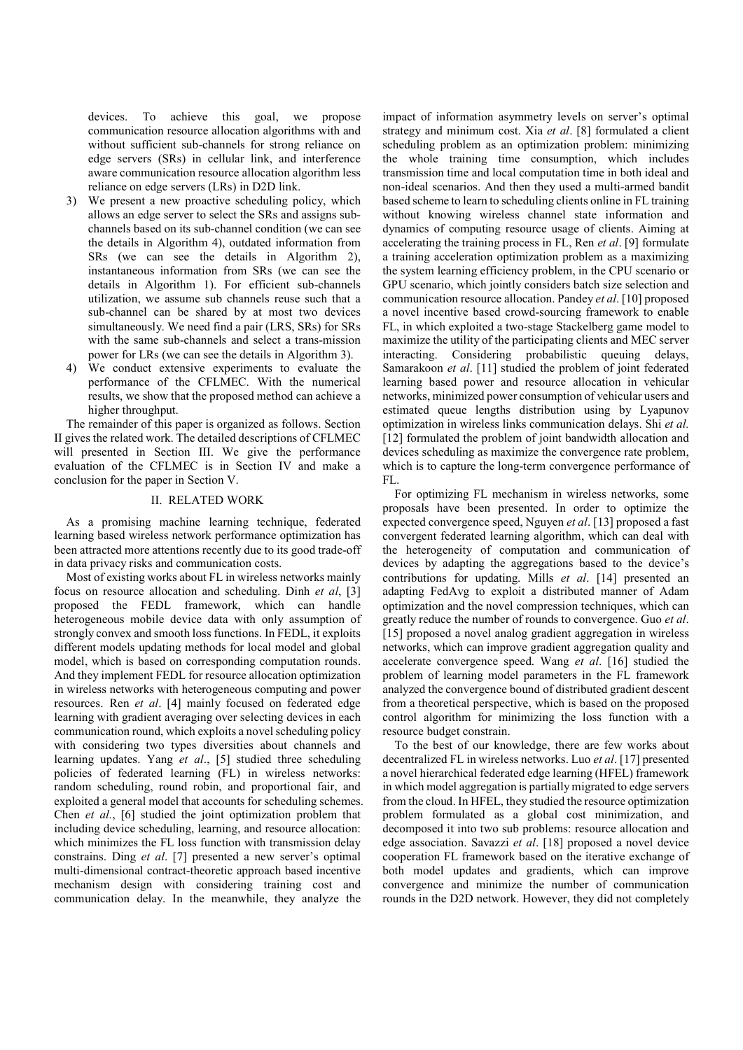devices. To achieve this goal, we propose communication resource allocation algorithms with and without sufficient sub-channels for strong reliance on edge servers (SRs) in cellular link, and interference aware communication resource allocation algorithm less reliance on edge servers (LRs) in D2D link.

- 3) We present a new proactive scheduling policy, which allows an edge server to select the SRs and assigns subchannels based on its sub-channel condition (we can see the details in Algorithm 4), outdated information from SRs (we can see the details in Algorithm 2), instantaneous information from SRs (we can see the details in Algorithm 1). For efficient sub-channels utilization, we assume sub channels reuse such that a sub-channel can be shared by at most two devices simultaneously. We need find a pair (LRS, SRs) for SRs with the same sub-channels and select a trans-mission power for LRs (we can see the details in Algorithm 3).
- 4) We conduct extensive experiments to evaluate the performance of the CFLMEC. With the numerical results, we show that the proposed method can achieve a higher throughput.

The remainder of this paper is organized as follows. Section II gives the related work. The detailed descriptions of CFLMEC will presented in Section III. We give the performance evaluation of the CFLMEC is in Section IV and make a conclusion for the paper in Section V.

## II. RELATED WORK

As a promising machine learning technique, federated learning based wireless network performance optimization has been attracted more attentions recently due to its good trade-off in data privacy risks and communication costs.

Most of existing works about FL in wireless networks mainly focus on resource allocation and scheduling. Dinh et al, [3] proposed the FEDL framework, which can handle heterogeneous mobile device data with only assumption of strongly convex and smooth loss functions. In FEDL, it exploits different models updating methods for local model and global model, which is based on corresponding computation rounds. And they implement FEDL for resource allocation optimization in wireless networks with heterogeneous computing and power resources. Ren et al. [4] mainly focused on federated edge learning with gradient averaging over selecting devices in each communication round, which exploits a novel scheduling policy with considering two types diversities about channels and learning updates. Yang et al., [5] studied three scheduling policies of federated learning (FL) in wireless networks: random scheduling, round robin, and proportional fair, and exploited a general model that accounts for scheduling schemes. Chen et al., [6] studied the joint optimization problem that including device scheduling, learning, and resource allocation: which minimizes the FL loss function with transmission delay constrains. Ding et al. [7] presented a new server's optimal multi-dimensional contract-theoretic approach based incentive mechanism design with considering training cost and communication delay. In the meanwhile, they analyze the

impact of information asymmetry levels on server's optimal strategy and minimum cost. Xia et al. [8] formulated a client scheduling problem as an optimization problem: minimizing the whole training time consumption, which includes transmission time and local computation time in both ideal and non-ideal scenarios. And then they used a multi-armed bandit based scheme to learn to scheduling clients online in FL training without knowing wireless channel state information and dynamics of computing resource usage of clients. Aiming at accelerating the training process in FL, Ren et al. [9] formulate a training acceleration optimization problem as a maximizing the system learning efficiency problem, in the CPU scenario or GPU scenario, which jointly considers batch size selection and communication resource allocation. Pandey et al. [10] proposed a novel incentive based crowd-sourcing framework to enable FL, in which exploited a two-stage Stackelberg game model to maximize the utility of the participating clients and MEC server interacting. Considering probabilistic queuing delays, Samarakoon et al. [11] studied the problem of joint federated learning based power and resource allocation in vehicular networks, minimized power consumption of vehicular users and estimated queue lengths distribution using by Lyapunov optimization in wireless links communication delays. Shi et al. [12] formulated the problem of joint bandwidth allocation and devices scheduling as maximize the convergence rate problem, which is to capture the long-term convergence performance of FL.

 For optimizing FL mechanism in wireless networks, some proposals have been presented. In order to optimize the expected convergence speed, Nguyen et al. [13] proposed a fast convergent federated learning algorithm, which can deal with the heterogeneity of computation and communication of devices by adapting the aggregations based to the device's contributions for updating. Mills et al. [14] presented an adapting FedAvg to exploit a distributed manner of Adam optimization and the novel compression techniques, which can greatly reduce the number of rounds to convergence. Guo et al. [15] proposed a novel analog gradient aggregation in wireless networks, which can improve gradient aggregation quality and accelerate convergence speed. Wang et al. [16] studied the problem of learning model parameters in the FL framework analyzed the convergence bound of distributed gradient descent from a theoretical perspective, which is based on the proposed control algorithm for minimizing the loss function with a resource budget constrain.

To the best of our knowledge, there are few works about decentralized FL in wireless networks. Luo *et al.* [17] presented a novel hierarchical federated edge learning (HFEL) framework in which model aggregation is partially migrated to edge servers from the cloud. In HFEL, they studied the resource optimization problem formulated as a global cost minimization, and decomposed it into two sub problems: resource allocation and edge association. Savazzi et al. [18] proposed a novel device cooperation FL framework based on the iterative exchange of both model updates and gradients, which can improve convergence and minimize the number of communication rounds in the D2D network. However, they did not completely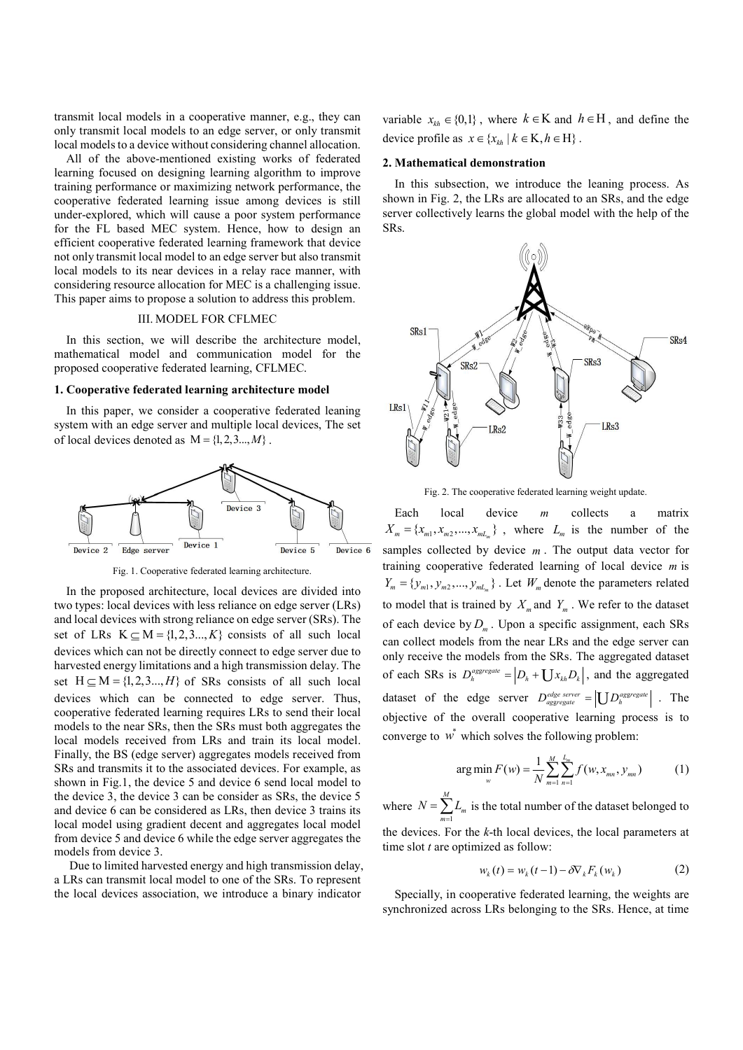transmit local models in a cooperative manner, e.g., they can only transmit local models to an edge server, or only transmit local models to a device without considering channel allocation.

All of the above-mentioned existing works of federated learning focused on designing learning algorithm to improve training performance or maximizing network performance, the cooperative federated learning issue among devices is still under-explored, which will cause a poor system performance for the FL based MEC system. Hence, how to design an efficient cooperative federated learning framework that device not only transmit local model to an edge server but also transmit local models to its near devices in a relay race manner, with considering resource allocation for MEC is a challenging issue. This paper aims to propose a solution to address this problem.

# III. MODEL FOR CFLMEC

In this section, we will describe the architecture model, mathematical model and communication model for the proposed cooperative federated learning, CFLMEC.

## 1. Cooperative federated learning architecture model

In this paper, we consider a cooperative federated leaning system with an edge server and multiple local devices, The set of local devices denoted as  $M = \{1, 2, 3, ..., M\}$ .



Fig. 1. Cooperative federated learning architecture.

In the proposed architecture, local devices are divided into two types: local devices with less reliance on edge server (LRs) and local devices with strong reliance on edge server (SRs). The set of LRs  $K \subseteq M = \{1,2,3..., K\}$  consists of all such local devices which can not be directly connect to edge server due to harvested energy limitations and a high transmission delay. The set  $H \subseteq M = \{1, 2, 3, \ldots, H\}$  of SRs consists of all such local devices which can be connected to edge server. Thus, cooperative federated learning requires LRs to send their local models to the near SRs, then the SRs must both aggregates the local models received from LRs and train its local model. Finally, the BS (edge server) aggregates models received from SRs and transmits it to the associated devices. For example, as shown in Fig.1, the device 5 and device 6 send local model to the device 3, the device 3 can be consider as SRs, the device 5 and device 6 can be considered as LRs, then device 3 trains its local model using gradient decent and aggregates local model from device 5 and device 6 while the edge server aggregates the models from device 3.

 Due to limited harvested energy and high transmission delay, a LRs can transmit local model to one of the SRs. To represent the local devices association, we introduce a binary indicator

variable  $x_{kh} \in \{0,1\}$ , where  $k \in K$  and  $h \in H$ , and define the device profile as  $x \in \{x_{kh} | k \in \mathcal{K}, h \in \mathcal{H}\}\.$ 

#### 2. Mathematical demonstration

In this subsection, we introduce the leaning process. As shown in Fig. 2, the LRs are allocated to an SRs, and the edge server collectively learns the global model with the help of the SRs.



Fig. 2. The cooperative federated learning weight update.

Each local device  $m$  collects a matrix  $X_m = \{x_{m1}, x_{m2}, \dots, x_{mL_m}\}\;$ , where  $L_m$  is the number of the samples collected by device  $m$ . The output data vector for training cooperative federated learning of local device  $m$  is  $Y_m = \{y_{m1}, y_{m2}, ..., y_{mL_m}\}\$ . Let  $W_m$  denote the parameters related to model that is trained by  $X_m$  and  $Y_m$ . We refer to the dataset of each device by  $D_m$ . Upon a specific assignment, each SRs can collect models from the near LRs and the edge server can only receive the models from the SRs. The aggregated dataset of each SRs is  $D_h^{aggregate} = |D_h + U x_{kh} D_k|$ , and the aggregated dataset of the edge server  $D_{\text{aggregate}}^{\text{edge server}} = |U D_{h}^{\text{aggregate}}|$ . The objective of the overall cooperative learning process is to converge to  $\vec{w}$  which solves the following problem:

$$
\arg\min_{w} F(w) = \frac{1}{N} \sum_{m=1}^{M} \sum_{n=1}^{L_m} f(w, x_{mn}, y_{mn})
$$
(1)

where 1 M  $N = \sum_{m=1}^{N} L_m$  is the total number of the dataset belonged to the devices. For the  $k$ -th local devices, the local parameters at time slot  $t$  are optimized as follow:

$$
w_k(t) = w_k(t-1) - \delta \nabla_k F_k(w_k)
$$
 (2)

Specially, in cooperative federated learning, the weights are synchronized across LRs belonging to the SRs. Hence, at time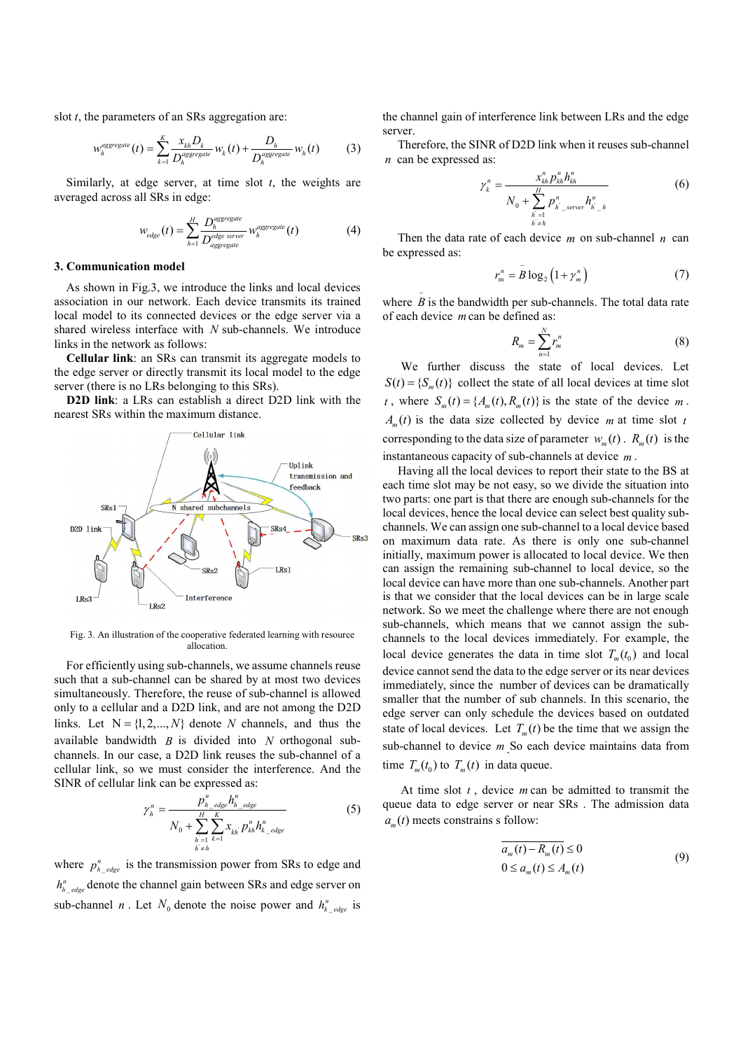slot  $t$ , the parameters of an SRs aggregation are:

$$
w_h^{aggregate}(t) = \sum_{k=1}^K \frac{x_{kh} D_k}{D_h^{aggregate}} w_k(t) + \frac{D_h}{D_h^{aggregate}} w_h(t)
$$
 (3)

Similarly, at edge server, at time slot  $t$ , the weights are averaged across all SRs in edge:

$$
W_{edge}(t) = \sum_{h=1}^{H} \frac{D_h^{aggregate}}{D_{aggregate}^{edge}} W_h^{aggregate}(t)
$$
 (4)

#### 3. Communication model

As shown in Fig.3, we introduce the links and local devices association in our network. Each device transmits its trained local model to its connected devices or the edge server via a shared wireless interface with  $N$  sub-channels. We introduce links in the network as follows:

Cellular link: an SRs can transmit its aggregate models to the edge server or directly transmit its local model to the edge server (there is no LRs belonging to this SRs).

D2D link: a LRs can establish a direct D2D link with the nearest SRs within the maximum distance.



Fig. 3. An illustration of the cooperative federated learning with resource allocation.

For efficiently using sub-channels, we assume channels reuse such that a sub-channel can be shared by at most two devices simultaneously. Therefore, the reuse of sub-channel is allowed only to a cellular and a D2D link, and are not among the D2D links. Let  $N = \{1, 2, ..., N\}$  denote N channels, and thus the available bandwidth  $B$  is divided into  $N$  orthogonal subchannels. In our case, a D2D link reuses the sub-channel of a cellular link, so we must consider the interference. And the SINR of cellular link can be expressed as:

$$
\gamma_{h}^{n} = \frac{p_{h_{\text{edge}}}^{n}h_{h_{\text{edge}}^{n}}^{n}}{N_{0} + \sum_{\substack{h=1\\h \neq h}}^{H} \sum_{k=1}^{K} x_{kh} p_{kh}^{n} h_{k_{\text{edge}}^{n}}^{n}}
$$
(5)

where  $p_{h_{\text{edge}}}^{n}$  is the transmission power from SRs to edge and  $h_{h_{\text{edge}}}^{n}$  denote the channel gain between SRs and edge server on sub-channel *n*. Let  $N_0$  denote the noise power and  $h_{k_{\text{edge}}}^{n}$  is the channel gain of interference link between LRs and the edge server.

 Therefore, the SINR of D2D link when it reuses sub-channel  $n$  can be expressed as:

interference link between LRs and the edge  
\nNR of D2D link when it reuses sub-channel  
\nas:  
\n
$$
\gamma_k^n = \frac{x_{kh}^n p_{kh}^n h_{kh}^n}{N_0 + \sum_{\substack{h=1 \ h \neq h}}^H p_{h\_server}^n h_{h\_h}^n}
$$
\n(6)  
\nthe of each device *m* on sub-channel *n* can  
\n
$$
r_m^n = \bar{B} \log_2 (1 + \gamma_m^n)
$$
\n(7)  
\ndwidth per sub-channels. The total data rate  
\nin be defined as:  
\n
$$
R_m = \sum_{h=1}^N r_m^n
$$
\n(8)

Then the data rate of each device  $m$  on sub-channel  $n$  can be expressed as:

$$
r_m^n = \bar{B} \log_2 \left( 1 + \gamma_m^n \right) \tag{7}
$$

where  $\overline{B}$  is the bandwidth per sub-channels. The total data rate of each device m can be defined as:

$$
R_m = \sum_{n=1}^{N} r_n^n \tag{8}
$$

 We further discuss the state of local devices. Let  $S(t) = {S_m(t)}$  collect the state of all local devices at time slot t, where  $S_m(t) = {A_m(t), R_m(t)}$  is the state of the device m.  $A_m(t)$  is the data size collected by device m at time slot t corresponding to the data size of parameter  $w_m(t)$ .  $R_m(t)$  is the instantaneous capacity of sub-channels at device m .

 Having all the local devices to report their state to the BS at each time slot may be not easy, so we divide the situation into two parts: one part is that there are enough sub-channels for the local devices, hence the local device can select best quality subchannels. We can assign one sub-channel to a local device based on maximum data rate. As there is only one sub-channel initially, maximum power is allocated to local device. We then can assign the remaining sub-channel to local device, so the local device can have more than one sub-channels. Another part is that we consider that the local devices can be in large scale network. So we meet the challenge where there are not enough sub-channels, which means that we cannot assign the subchannels to the local devices immediately. For example, the local device generates the data in time slot  $T_m(t_0)$  and local device cannot send the data to the edge server or its near devices immediately, since the number of devices can be dramatically smaller that the number of sub channels. In this scenario, the edge server can only schedule the devices based on outdated state of local devices. Let  $T_m(t)$  be the time that we assign the sub-channel to device  $m$  So each device maintains data from time  $T_m(t_0)$  to  $T_m(t)$  in data queue.

At time slot  $t$ , device  $m$  can be admitted to transmit the queue data to edge server or near SRs . The admission data  $a<sub>m</sub>(t)$  meets constrains s follow:

$$
\overline{a_m(t) - R_m(t)} \le 0
$$
  
0 \le a\_m(t) \le A\_m(t) (9)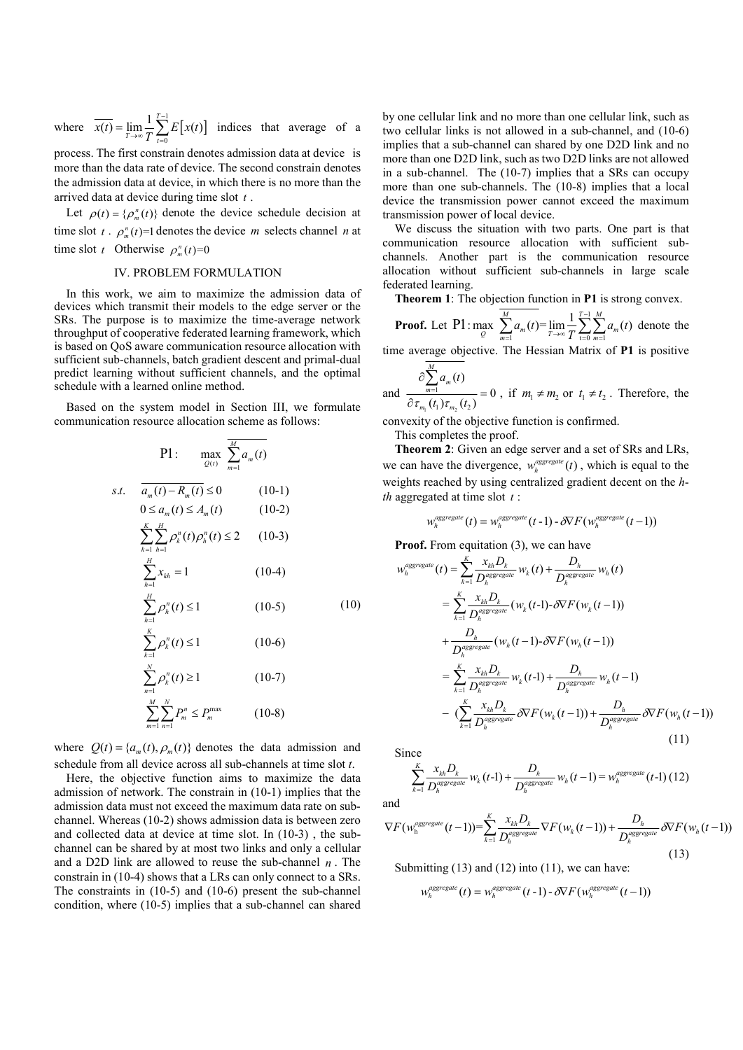1 0  $\overline{t(t)} = \lim_{h \to 0} \frac{1}{h} \sum_{k=1}^{T-1} E[x(t)]$  $\overline{x(t)} = \lim_{T \to \infty} \frac{1}{T} \sum_{t=0}^{T} E[x(t)]$ ÷,  $=\lim_{T\to\infty}\frac{1}{T}\sum_{t=0}E[x(t)]$  indices that average of a

process. The first constrain denotes admission data at device is more than the data rate of device. The second constrain denotes the admission data at device, in which there is no more than the arrived data at device during time slot  $t$ .

Let  $\rho(t) = {\rho_m^n(t)}$  denote the device schedule decision at time slot  $t \cdot \rho_m^n(t) = 1$  denotes the device m selects channel n at time slot t Otherwise  $\rho_m^n(t)=0$ 

#### IV. PROBLEM FORMULATION

In this work, we aim to maximize the admission data of devices which transmit their models to the edge server or the SRs. The purpose is to maximize the time-average network throughput of cooperative federated learning framework, which is based on QoS aware communication resource allocation with sufficient sub-channels, batch gradient descent and primal-dual predict learning without sufficient channels, and the optimal schedule with a learned online method.

Based on the system model in Section III, we formulate communication resource allocation scheme as follows:

$$
P1: \max_{Q(t)} \sum_{m=1}^{M} a_m(t)
$$
  
\ns.t.  $\overline{a_m(t) - R_m(t)} \le 0$  (10-1)  
\n $0 \le a_m(t) \le A_m(t)$  (10-2)  
\n $\sum_{k=1}^{K} \sum_{h=1}^{H} \rho_k^n(t) \rho_h^n(t) \le 2$  (10-3)  
\n $\sum_{h=1}^{H} x_{kh} = 1$  (10-4)  
\n $\sum_{h=1}^{H} \rho_h^n(t) \le 1$  (10-5) (10)  
\n $\sum_{k=1}^{K} \rho_k^n(t) \le 1$  (10-6)  
\n $\sum_{m=1}^{N} \rho_k^m(t) \ge 1$  (10-7)  
\n $\sum_{m=1}^{M} \sum_{n=1}^{N} P_m^m \le P_m^{\max}$  (10-8)

where  $Q(t) = {a_m(t), \rho_m(t)}$  denotes the data admission and schedule from all device across all sub-channels at time slot t.

Here, the objective function aims to maximize the data admission of network. The constrain in (10-1) implies that the admission data must not exceed the maximum data rate on subchannel. Whereas (10-2) shows admission data is between zero and collected data at device at time slot. In (10-3) , the subchannel can be shared by at most two links and only a cellular and a D2D link are allowed to reuse the sub-channel  $n$ . The constrain in (10-4) shows that a LRs can only connect to a SRs. The constraints in (10-5) and (10-6) present the sub-channel condition, where (10-5) implies that a sub-channel can shared

where  $\overline{x(t)} = \lim_{t \to \infty} \frac{1}{T} \sum_{t=0}^{T-1} E[x(t)]$  indices that average of a<br>process. The first constraind enotes admission data at device is<br>more than the data rate of device. The second constrain denotes<br>the admission dat by one cellular link and no more than one cellular link, such as two cellular links is not allowed in a sub-channel, and (10-6) implies that a sub-channel can shared by one D2D link and no more than one D2D link, such as two D2D links are not allowed in a sub-channel. The (10-7) implies that a SRs can occupy more than one sub-channels. The (10-8) implies that a local device the transmission power cannot exceed the maximum transmission power of local device.

> We discuss the situation with two parts. One part is that communication resource allocation with sufficient subchannels. Another part is the communication resource allocation without sufficient sub-channels in large scale federated learning.

Theorem 1: The objection function in P1 is strong convex.

**Proof.** Let P1: max  $\sum_{m=1}^{M} a_m(t) = \lim_{m \to \infty} \frac{1}{m} \sum_{m=1}^{T-1}$  $\frac{1}{1}$   $\rightarrow \infty$   $\frac{1}{1}$   $\frac{1}{1}$   $\frac{1}{1}$   $\frac{1}{1}$ P1: max  $\overline{\sum_{m=0}^{M} a_m(t)} = \lim_{m \to \infty} \frac{1}{m} \sum_{m=0}^{T-1} \sum_{m=0}^{M} a_m(t)$  d  $\max_{Q} \sum_{m=1}^{N} a_m(t) = \lim_{T \to \infty} \frac{1}{T} \sum_{t=0}^{T} \sum_{m=1}^{N} a_m(t)$  $\equiv$  $\sum_{m=1}^{M} a_m(t) = \lim_{T \to \infty} \frac{1}{T} \sum_{t=0}^{T-1} \sum_{m=1}^{M} a_m(t)$  denote the

time average objective. The Hessian Matrix of P1 is positive

and 
$$
\frac{\partial \sum_{m=1}^{M} a_m(t)}{\partial \tau_{m_1}(t_1) \tau_{m_2}(t_2)} = 0
$$
, if  $m_1 \neq m_2$  or  $t_1 \neq t_2$ . Therefore, the

convexity of the objective function is confirmed.

This completes the proof.

Theorem 2: Given an edge server and a set of SRs and LRs, we can have the divergence,  $w_h^{aggregate}(t)$ , which is equal to the weights reached by using centralized gradient decent on the hth aggregated at time slot  $t$  :

$$
w_h^{aggregate}(t) = w_h^{aggregate}(t-1) - \delta\nabla F(w_h^{aggregate}(t-1))
$$

Proof. From equitation (3), we can have

$$
w_h^{aggregate}(t) = \sum_{k=1}^{K} \frac{x_{kh} D_k}{D_h^{aggregate}} w_k(t) + \frac{D_h}{D_h^{aggregate}} w_h(t)
$$
  
\n
$$
= \sum_{k=1}^{K} \frac{x_{kh} D_k}{D_h^{aggregate}} (w_k(t-1) - \delta \nabla F(w_k(t-1))
$$
  
\n
$$
+ \frac{D_h}{D_h^{aggregate}} (w_h(t-1) - \delta \nabla F(w_h(t-1))
$$
  
\n
$$
= \sum_{k=1}^{K} \frac{x_{kh} D_k}{D_h^{aggregate}} w_k(t-1) + \frac{D_h}{D_h^{aggregate}} w_h(t-1)
$$
  
\n
$$
- \left( \sum_{k=1}^{K} \frac{x_{kh} D_k}{D_h^{aggregate}} \delta \nabla F(w_k(t-1)) + \frac{D_h}{D_h^{aggregate}} \delta \nabla F(w_h(t-1)) \right)
$$
  
\n(11)

Since

$$
\sum_{k=1}^{K}\frac{x_{kh}D_k}{D_h^{aggegate}} w_k(t-1) + \frac{D_h}{D_h^{aggegate}} w_h(t-1) = w_h^{aggegate}(t-1) (12)
$$

and

$$
\nabla F(w_h^{aggregate}(t-1)) = \sum_{k=1}^{K} \frac{x_{kh} D_k}{D_h^{aggregate}} \nabla F(w_k(t-1)) + \frac{D_h}{D_h^{aggregate}} \delta \nabla F(w_h(t-1))
$$
\n(13)

Submitting  $(13)$  and  $(12)$  into  $(11)$ , we can have:

$$
w_h^{aggregate}(t) = w_h^{aggregate}(t-1) - \delta \nabla F(w_h^{aggregate}(t-1))
$$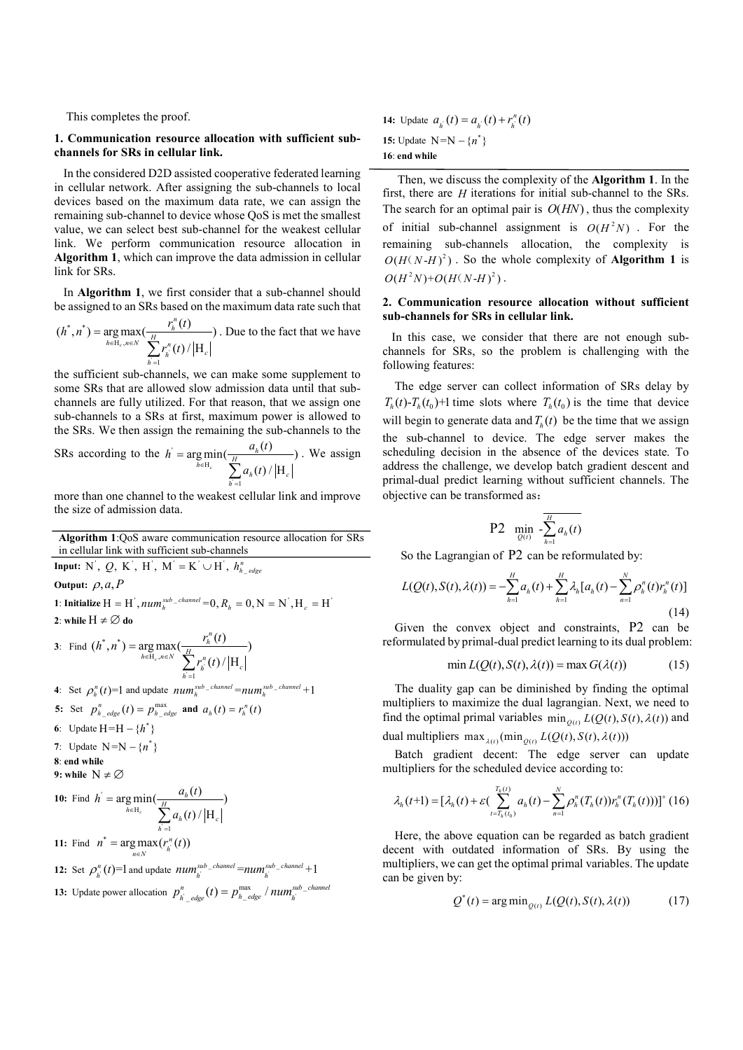This completes the proof.

#### 1. Communication resource allocation with sufficient subchannels for SRs in cellular link.

 In the considered D2D assisted cooperative federated learning in cellular network. After assigning the sub-channels to local devices based on the maximum data rate, we can assign the remaining sub-channel to device whose QoS is met the smallest value, we can select best sub-channel for the weakest cellular link. We perform communication resource allocation in Algorithm 1, which can improve the data admission in cellular link for SRs.

 In Algorithm 1, we first consider that a sub-channel should be assigned to an SRs based on the maximum data rate such that

$$
(h^*, n^*) = \underset{h \in \mathcal{H}_c, n \in N}{\arg \max} \left( \frac{r_h^n(t)}{\sum_{h=1}^H r_h^n(t) / |H_c|} \right).
$$
 Due to the fact that we have

the sufficient sub-channels, we can make some supplement to some SRs that are allowed slow admission data until that subchannels are fully utilized. For that reason, that we assign one sub-channels to a SRs at first, maximum power is allowed to the SRs. We then assign the remaining the sub-channels to the

SRs according to the 
$$
h' = \underset{h \in H_c}{\arg \min} \left( \frac{a_h(t)}{\sum_{h=1}^H a_h(t) / |H_c|} \right)
$$
. We assign

more than one channel to the weakest cellular link and improve the size of admission data.

Algorithm 1:QoS aware communication resource allocation for SRs in cellular link with sufficient sub-channels

Input: N', Q, K', H', M' = K' \cup H', 
$$
h_{h\_edge}^n
$$
  
\nOutput:  $\rho, a, P$   
\n1: Initialize H = H',  $num_h^{sub\_channel} = 0, R_h = 0, N = N', H_c = H'$   
\n2: while H  $\neq \emptyset$  do

3: Find 
$$
(h^*, n^*)
$$
 = arg max $(\frac{r_h^n(t)}{\sum_{h=1}^H r_h^n(t) / |H_c|})$   
\n4: Set  $\rho_h^n(t)$ =1 and update  $num_h^{sub\_channel}$  =  $num_h^{sub\_channel} + 1$   
\n5. Set  $n^n$   $(t) = n^{max}$  and  $g_n(t) = n^n(t)$ 

\n- 5: Set 
$$
p_{h\_edge}^n(t) = p_{h\_edge}^{\max}
$$
 and  $a_h(t) = r_h^n(t)$
\n- 6: Update  $H = H - \{h^*\}$
\n- 7: Update  $N = N - \{n^*\}$
\n- 8: end while
\n

9: while 
$$
N \neq \emptyset
$$

**10:** Find 
$$
h' = \arg \min_{h \in H_c} \left( \frac{a_h(t)}{\sum_{h=1}^H a_h(t) / |H_c|} \right)
$$

**11:** Find  $n^* = \arg \max_{n \in N} (r_{\hat{n}}^n(t))$ 

**12:** Set 
$$
\rho_k^n(t)
$$
=1 and update  $num_k^{sub\_channel}$ = $num_k^{sub\_channel}$ +1

**13:** Update power allocation  $p_{\substack{l \ \text{order}}}^n(t) = p_{\substack{l \ \text{edge}}}^{\max}/num_{\substack{l \ \text{order}}}^{\text{sub}-\text{circle}}$  $p_{\overrightarrow{h}_{\_edge}\_edge}^n(t)=p_{\overrightarrow{h}_{\_edge}\_edge}^{\max}$  /  $num_{\overrightarrow{h}}^{sub\_channel}$ 

14: Update  $a_{i} (t) = a_{i} (t) + r_{i}^{n} (t)$ 15: Update  $N = N - \{n^*\}$ 16: end while

 Then, we discuss the complexity of the Algorithm 1. In the first, there are  $H$  iterations for initial sub-channel to the SRs. The search for an optimal pair is  $O(HN)$ , thus the complexity of initial sub-channel assignment is  $O(H^2 N)$ . For the remaining sub-channels allocation, the complexity is  $O(H(N-H)^2)$ . So the whole complexity of **Algorithm 1** is  $O(H^2N)+O(H(N-H)^2)$ .

# 2. Communication resource allocation without sufficient sub-channels for SRs in cellular link.

 In this case, we consider that there are not enough subchannels for SRs, so the problem is challenging with the following features:

 The edge server can collect information of SRs delay by  $T_h(t) - T_h(t_0) + 1$  time slots where  $T_h(t_0)$  is the time that device will begin to generate data and  $T_h(t)$  be the time that we assign the sub-channel to device. The edge server makes the scheduling decision in the absence of the devices state. To address the challenge, we develop batch gradient descent and primal-dual predict learning without sufficient channels. The objective can be transformed as:

P2 
$$
\min_{Q(t)} \frac{1}{\sum_{h=1}^{H} a_h(t)}
$$

So the Lagrangian of P2 can be reformulated by:

$$
L(Q(t), S(t), \lambda(t)) = -\sum_{h=1}^{H} a_h(t) + \sum_{h=1}^{H} \lambda_h [a_h(t) - \sum_{n=1}^{N} \rho_h^n(t) r_h^n(t)]
$$
\n(14)

Given the convex object and constraints, P2 can be reformulated by primal-dual predict learning to its dual problem:

$$
\min L(Q(t), S(t), \lambda(t)) = \max G(\lambda(t))
$$
\n(15)

The duality gap can be diminished by finding the optimal multipliers to maximize the dual lagrangian. Next, we need to find the optimal primal variables  $\min_{\theta(t)} L(Q(t), S(t), \lambda(t))$  and

dual multipliers max  $_{\lambda(t)}$  (min<sub>O(t)</sub>  $L(Q(t), S(t), \lambda(t)))$ 

Batch gradient decent: The edge server can update multipliers for the scheduled device according to:

$$
\lambda_h(t+1) = [\lambda_h(t) + \varepsilon \left( \sum_{t=T_h(t_0)}^{T_h(t)} a_h(t) - \sum_{n=1}^N \rho_h^n(T_h(t)) r_h^n(T_h(t)) \right)]^+(16)
$$

Here, the above equation can be regarded as batch gradient decent with outdated information of SRs. By using the multipliers, we can get the optimal primal variables. The update can be given by:

$$
Q^*(t) = \arg\min_{Q(t)} L(Q(t), S(t), \lambda(t))
$$
 (17)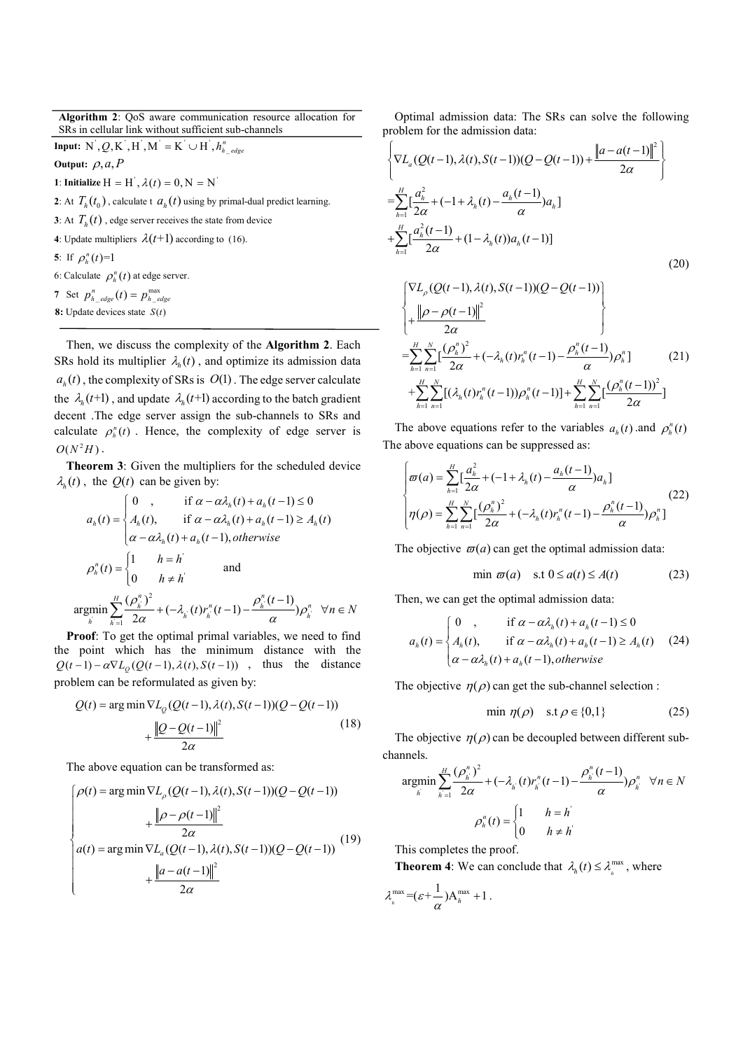Algorithm 2: QoS aware communication resource allocation for SRs in cellular link without sufficient sub-channels

**Input:**  $N^{\dagger}$ ,  $Q$ ,  $K^{\dagger}$ ,  $H^{\dagger}$ ,  $M^{\dagger} = K^{\dagger} \cup H^{\dagger}$ ,  $h_{h_{\perp}$  *edge* 

Output:  $\rho$ ,  $a$ , P

1: Initialize  $H = H^{\dagger}, \lambda(t) = 0, N = N^{\dagger}$ 2: At  $T_h(t_0)$ , calculate t  $a_h(t)$  using by primal-dual predict learning. **3**: At  $T_h(t)$ , edge server receives the state from device 4: Update multipliers  $\lambda(t+1)$  according to (16). 5: If  $\rho_h^n(t)=1$ 6: Calculate  $\rho_h^n(t)$  at edge server. 7 Set  $p_{h_{\text{edge}}}^{n}(t) = p_{h_{\text{edge}}}^{\text{max}}$ 8: Update devices state  $S(t)$ 

Then, we discuss the complexity of the Algorithm 2. Each SRs hold its multiplier  $\lambda_h(t)$ , and optimize its admission data  $a<sub>h</sub>(t)$ , the complexity of SRs is  $O(1)$ . The edge server calculate the  $\lambda_h(t+1)$ , and update  $\lambda_h(t+1)$  according to the batch gradient decent .The edge server assign the sub-channels to SRs and calculate  $\rho_h^n(t)$ . Hence, the complexity of edge server is  $O(N^2H)$ .

Theorem 3: Given the multipliers for the scheduled device  $\lambda_h(t)$ , the  $Q(t)$  can be given by:

$$
a_{h}(t) = \begin{cases} 0, & \text{if } \alpha - \alpha \lambda_{h}(t) + a_{h}(t-1) \le 0 \\ A_{h}(t), & \text{if } \alpha - \alpha \lambda_{h}(t) + a_{h}(t-1) \ge A_{h}(t) \\ \alpha - \alpha \lambda_{h}(t) + a_{h}(t-1), \text{otherwise} \end{cases}
$$

$$
\rho_{h}^{n}(t) = \begin{cases} 1, & \text{if } \alpha = h^{\prime} \\ 0, & \text{if } \alpha \ne h^{\prime} \end{cases} \text{ and}
$$

$$
\operatorname{argmin}_{h} \sum_{h=1}^{H} \frac{(\rho_{h}^{n})^{2}}{2\alpha} + (-\lambda_{h}^{(t)})r_{h}^{n}(t-1) - \frac{\rho_{h}^{n}(t-1)}{\alpha})\rho_{h}^{n} \quad \forall n \in N
$$

Proof: To get the optimal primal variables, we need to find the point which has the minimum distance with the  $Q(t-1) - \alpha \nabla L_0(Q(t-1), \lambda(t), S(t-1))$ , thus the distance problem can be reformulated as given by:

$$
Q(t) = \arg\min \nabla L_Q(Q(t-1), \lambda(t), S(t-1))(Q - Q(t-1)) + \frac{\|Q - Q(t-1)\|^2}{2\alpha} \tag{18}
$$

The above equation can be transformed as:

$$
\rho(t) = \arg\min \nabla L_{\rho}(Q(t-1), \lambda(t), S(t-1))(Q - Q(t-1))
$$
  
+ 
$$
\frac{\|\rho - \rho(t-1)\|^2}{2\alpha}
$$
  

$$
a(t) = \arg\min \nabla L_{a}(Q(t-1), \lambda(t), S(t-1))(Q - Q(t-1))
$$
  
+ 
$$
\frac{\|a - a(t-1)\|^2}{2\alpha}
$$
 (19)

Optimal admission data: The SRs can solve the following problem for the admission data:  $\overline{2}$ 

$$
\left\{\nabla L_a(Q(t-1),\lambda(t),S(t-1))(Q-Q(t-1)) + \frac{\|a-a(t-1)\|^2}{2\alpha}\right\}
$$
\n
$$
= \sum_{h=1}^H \left[\frac{a_h^2}{2\alpha} + (-1+\lambda_h(t) - \frac{a_h(t-1)}{\alpha})a_h\right]
$$
\n
$$
+ \sum_{h=1}^H \left[\frac{a_h^2(t-1)}{2\alpha} + (1-\lambda_h(t))a_h(t-1)\right]
$$
\n(20)

$$
\begin{cases}\n\nabla L_{\rho} (Q(t-1), \lambda(t), S(t-1))(Q - Q(t-1)) \\
+\frac{\left\|\rho - \rho(t-1)\right\|^{2}}{2\alpha} \\
=\sum_{h=1}^{H} \sum_{n=1}^{N} \left[\frac{(\rho_{h}^{n})^{2}}{2\alpha} + (-\lambda_{h}(t) r_{h}^{n}(t-1) - \frac{\rho_{h}^{n}(t-1)}{\alpha})\rho_{h}^{n}\right] (21) \\
+\sum_{h=1}^{H} \sum_{n=1}^{N} \left[ (\lambda_{h}(t) r_{h}^{n}(t-1))\rho_{h}^{n}(t-1)\right] + \sum_{h=1}^{H} \sum_{n=1}^{N} \left[\frac{(\rho_{h}^{n}(t-1))^{2}}{2\alpha}\right]\n\end{cases}
$$

The above equations refer to the variables  $a_h(t)$  and  $\rho_h^n(t)$ The above equations can be suppressed as:

$$
\begin{cases}\n\varpi(a) = \sum_{h=1}^{H} \left[ \frac{a_h^2}{2\alpha} + (-1 + \lambda_h(t) - \frac{a_h(t-1)}{\alpha}) a_h \right] \\
\eta(\rho) = \sum_{h=1}^{H} \sum_{n=1}^{N} \left[ \frac{(\rho_h^n)^2}{2\alpha} + (-\lambda_h(t) r_h^n(t-1) - \frac{\rho_h^n(t-1)}{\alpha}) \rho_h^n \right]\n\end{cases}
$$
\n(22)

The objective  $\varpi(a)$  can get the optimal admission data:

$$
\min \,\varpi(a) \quad \text{s.t } 0 \le a(t) \le A(t) \tag{23}
$$

Then, we can get the optimal admission data:

$$
a_h(t) = \begin{cases} 0, & \text{if } \alpha - \alpha \lambda_h(t) + a_h(t-1) \le 0 \\ A_h(t), & \text{if } \alpha - \alpha \lambda_h(t) + a_h(t-1) \ge A_h(t) \\ \alpha - \alpha \lambda_h(t) + a_h(t-1), \text{otherwise} \end{cases}
$$
 (24)

The objective  $\eta(\rho)$  can get the sub-channel selection :

$$
\min \eta(\rho) \quad \text{s.t } \rho \in \{0,1\} \tag{25}
$$

The objective  $\eta(\rho)$  can be decoupled between different subchannels.

$$
\underset{h}{\text{argmin}} \sum_{h=1}^{H} \frac{(\rho_h^n)^2}{2\alpha} + (-\lambda_h(t)r_h^n(t-1) - \frac{\rho_h^n(t-1)}{\alpha})\rho_h^n \quad \forall n \in N
$$

$$
\rho_h^n(t) = \begin{cases} 1 & h = h \\ 0 & h \neq h \end{cases}
$$

This completes the proof.

**Theorem 4:** We can conclude that  $\lambda_h(t) \leq \lambda_h^{\max}$ , where

 $\lambda_{\lambda}^{\max} = (\varepsilon + \frac{1}{\alpha})A_{\lambda}^{\max} + 1$ .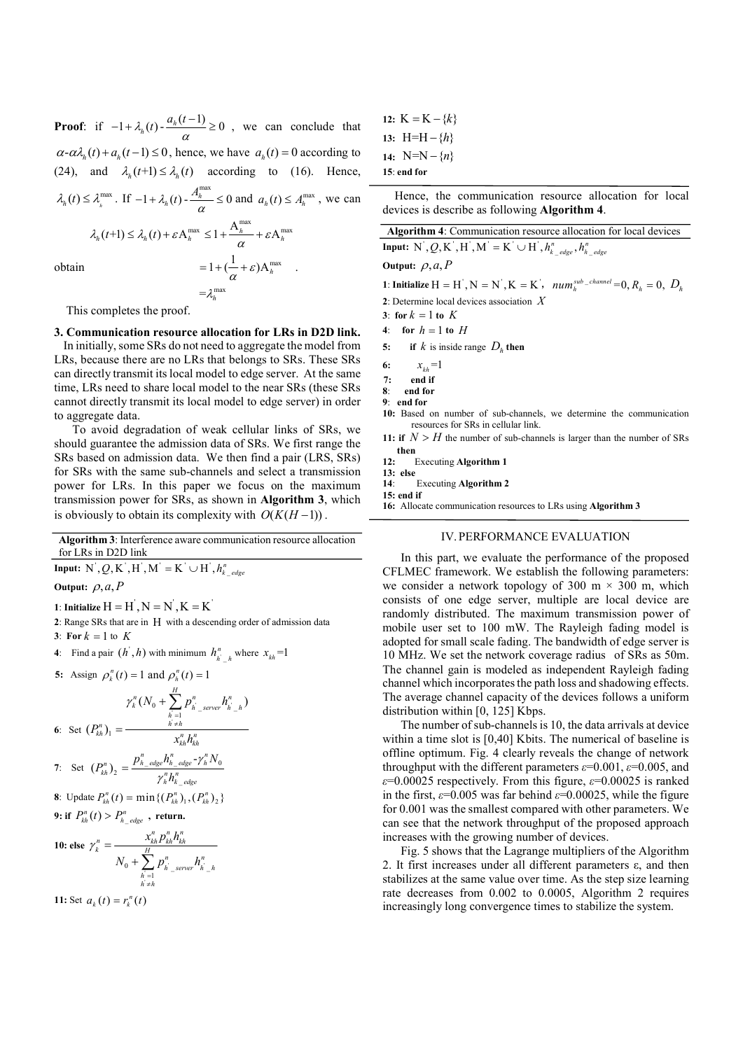**Proof:** if  $-1 + \lambda_h(t) - \frac{a_h(t-1)}{\alpha} \ge 0$ ,  $-1 + \lambda_h(t) - \frac{a_h(t-1)}{2} \ge 0$ , we can conclude that  $\alpha$ - $\alpha \lambda_h(t)$  +  $a_h(t-1) \le 0$ , hence, we have  $a_h(t) = 0$  according to (24), and  $\lambda_h(t+1) \leq \lambda_h(t)$  according to (16). Hence,  $\lambda_h(t) \leq \lambda_h^{\max}$ . If  $-1 + \lambda_h(t) - \frac{A_h^{\max}}{a} \leq 0$  and  $-1 + \lambda_h(t) - \frac{A_h^{\max}}{\alpha} \le 0$  and  $a_h(t) \le A_h^{\max}$ , we can  $\lambda_h(t+1) \leq \lambda_h(t) + \varepsilon A_h^{\max} \leq 1 + \frac{A_h^{\max}}{\alpha} + \varepsilon A_h^{\max}$  $= 1 + (\frac{1}{\alpha} + \varepsilon) A_h^{max}$ .

obtain

This completes the proof.

 $=$ 

3. Communication resource allocation for LRs in D2D link. In initially, some SRs do not need to aggregate the model from LRs, because there are no LRs that belongs to SRs. These SRs can directly transmit its local model to edge server. At the same time, LRs need to share local model to the near SRs (these SRs cannot directly transmit its local model to edge server) in order to aggregate data.

max

h  $\lambda_i^1$ 

To avoid degradation of weak cellular links of SRs, we should guarantee the admission data of SRs. We first range the SRs based on admission data. We then find a pair (LRS, SRs) for SRs with the same sub-channels and select a transmission power for LRs. In this paper we focus on the maximum transmission power for SRs, as shown in Algorithm 3, which is obviously to obtain its complexity with  $O(K(H - 1))$ .

Algorithm 3: Interference aware communication resource allocation for LRs in D2D link

Input: ' ' ' ' ' ' \_ , , , , , <sup>n</sup> Q hk edge

Output:  $\rho, a, h$ 

1: Initialize  $H = H^{\prime}, N = N^{\prime}, K = K^{\prime}$ 

2: Range SRs that are in  $H$  with a descending order of admission data 3: For  $k = 1$  to  $K$ 

4: Find a pair 
$$
(h', h)
$$
 with minimum  $h_{h', h}^n$  where  $x_{kh} = 1$ 

5: Assign 
$$
\rho_k^n(t) = 1
$$
 and  $\rho_h^n(t) = 1$ 

$$
\gamma_k^n (N_0 + \sum_{h=1}^H p_{h\_server}^n h_{h-h}^n)
$$
  
6: Set  $(P_{kh}^n)_1 = \frac{h_{kh}}{x_{kh}^n h_{kh}^n}$ 

7: Set 
$$
(P_{kh}^{n})_2 = \frac{p_{h\_edge}^{n}h_{h\_edge}^{n}-\gamma_{h}^{n}N_0}{\gamma_{h}^{n}h_{k\_edge}^{n}}
$$

8: Update  $P_{kh}^{n}(t) = \min\{ (P_{kh}^{n})_1, (P_{kh}^{n})_2 \}$ 9: if  $P_{kh}^n(t) > P_{h_{\text{edge}}}^n$ , return.

**10: else** 
$$
\gamma_k^n = \frac{x_{kh}^n p_{kh}^n h_{kh}^n}{N_0 + \sum_{\substack{h=1 \ h \neq h}}^H p_{h_{-\text{server}}}^n h_{h_{-h}}^n}
$$

11: Set  $a_k(t) = r_k^n(t)$ 

|               | 12: $K = K - \{k\}$ |
|---------------|---------------------|
|               | 13: H=H – $\{h\}$   |
|               | 14: N=N $-\{n\}$    |
| $15:$ end for |                     |

Hence, the communication resource allocation for local devices is describe as following Algorithm 4.

| Algorithm 4: Communication resource allocation for local devices                                                                    |
|-------------------------------------------------------------------------------------------------------------------------------------|
| <b>Input:</b> N', Q, K', H', M' = K' $\cup$ H', $h_k^n$ edge, $h_k^n$ edge                                                          |
| Output: $\rho$ , $a$ , $P$                                                                                                          |
| 1: Initialize $H = H^{\dagger}, N = N^{\dagger}, K = K^{\dagger}, \quad \text{num}_{h}^{\text{sub\_channel}} = 0, R_{h} = 0, D_{h}$ |
| 2: Determine local devices association $X$                                                                                          |
| 3: for $k = 1$ to K                                                                                                                 |
| 4: for $h = 1$ to H                                                                                                                 |

5: if k is inside range  $D_h$  then

- 6:  $x_{ik} = 1$
- $7.$  end if
- 8: end for
- 9: end for
- 10: Based on number of sub-channels, we determine the communication resources for SRs in cellular link.
- 11: if  $N > H$  the number of sub-channels is larger than the number of SRs then<br> $12.$
- Executing Algorithm 1
- 13: else

14: Executing Algorithm 2 15: end if

16: Allocate communication resources to LRs using Algorithm 3

# IV.PERFORMANCE EVALUATION

In this part, we evaluate the performance of the proposed CFLMEC framework. We establish the following parameters: we consider a network topology of 300 m  $\times$  300 m, which consists of one edge server, multiple are local device are randomly distributed. The maximum transmission power of mobile user set to 100 mW. The Rayleigh fading model is adopted for small scale fading. The bandwidth of edge server is 10 MHz. We set the network coverage radius of SRs as 50m. The channel gain is modeled as independent Rayleigh fading channel which incorporates the path loss and shadowing effects. The average channel capacity of the devices follows a uniform distribution within [0, 125] Kbps.

The number of sub-channels is 10, the data arrivals at device within a time slot is [0,40] Kbits. The numerical of baseline is offline optimum. Fig. 4 clearly reveals the change of network throughput with the different parameters  $\varepsilon$ =0.001,  $\varepsilon$ =0.005, and  $\varepsilon$ =0.00025 respectively. From this figure,  $\varepsilon$ =0.00025 is ranked in the first,  $\varepsilon$ =0.005 was far behind  $\varepsilon$ =0.00025, while the figure for 0.001 was the smallest compared with other parameters. We can see that the network throughput of the proposed approach increases with the growing number of devices.

Fig. 5 shows that the Lagrange multipliers of the Algorithm 2. It first increases under all different parameters ε, and then stabilizes at the same value over time. As the step size learning rate decreases from 0.002 to 0.0005, Algorithm 2 requires increasingly long convergence times to stabilize the system.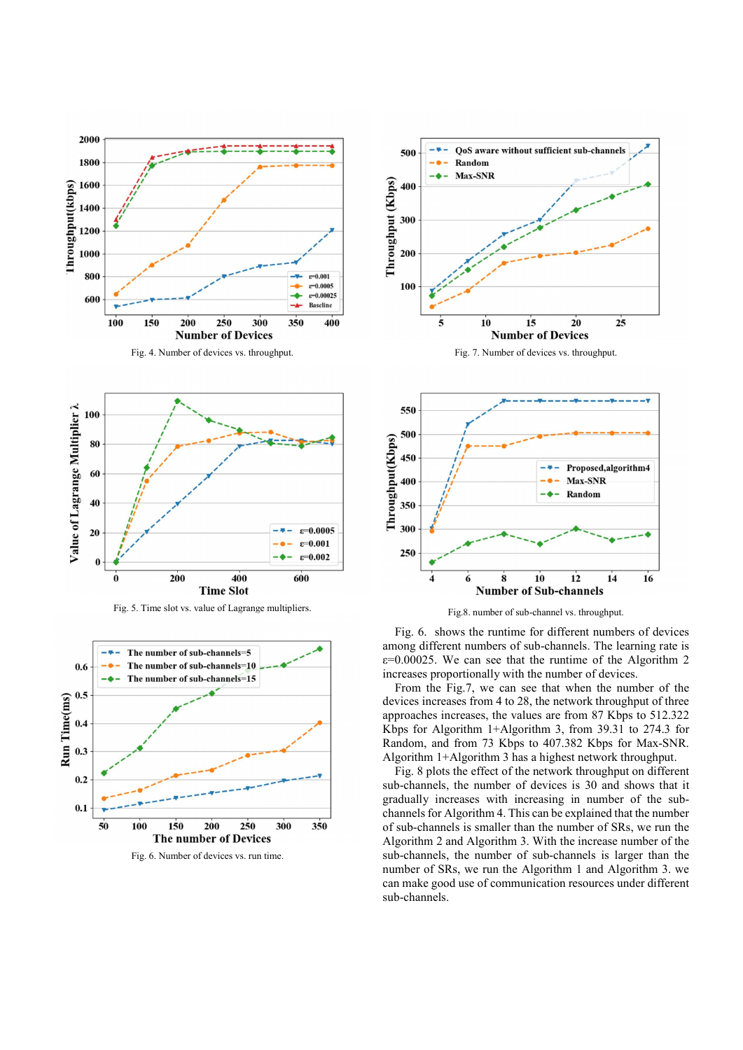

Fig. 4. Number of devices vs. throughput.



Fig. 5. Time slot vs. value of Lagrange multipliers.



Fig. 6. Number of devices vs. run time.



Fig. 7. Number of devices vs. throughput.



Fig.8. number of sub-channel vs. throughput.

Fig. 6. shows the runtime for different numbers of devices among different numbers of sub-channels. The learning rate is  $\varepsilon$ =0.00025. We can see that the runtime of the Algorithm 2 increases proportionally with the number of devices.

From the Fig.7, we can see that when the number of the devices increases from 4 to 28, the network throughput of three approaches increases, the values are from 87 Kbps to 512.322 Kbps for Algorithm 1+Algorithm 3, from 39.31 to 274.3 for Random, and from 73 Kbps to 407.382 Kbps for Max-SNR. Algorithm 1+Algorithm 3 has a highest network throughput.

Fig. 8 plots the effect of the network throughput on different sub-channels, the number of devices is 30 and shows that it gradually increases with increasing in number of the subchannels for Algorithm 4. This can be explained that the number of sub-channels is smaller than the number of SRs, we run the Algorithm 2 and Algorithm 3. With the increase number of the sub-channels, the number of sub-channels is larger than the number of SRs, we run the Algorithm 1 and Algorithm 3. we can make good use of communication resources under different sub-channels.